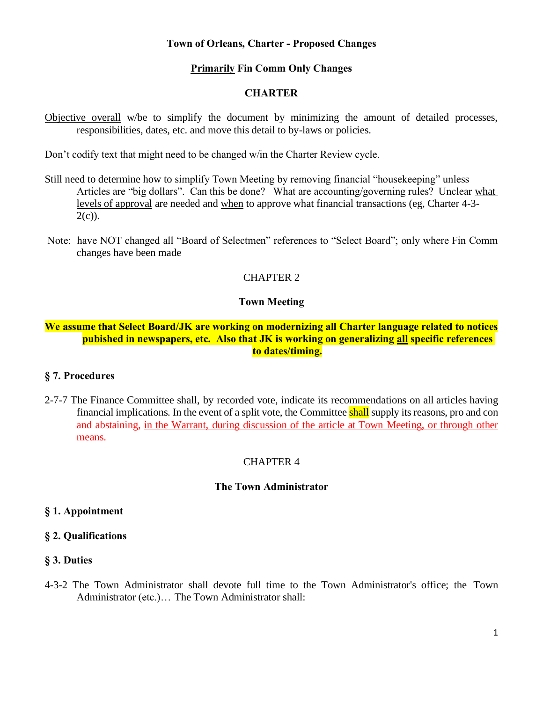#### **Town of Orleans, Charter - Proposed Changes**

# **Primarily Fin Comm Only Changes**

### **CHARTER**

Objective overall w/be to simplify the document by minimizing the amount of detailed processes, responsibilities, dates, etc. and move this detail to by-laws or policies.

Don't codify text that might need to be changed w/in the Charter Review cycle.

- Still need to determine how to simplify Town Meeting by removing financial "housekeeping" unless Articles are "big dollars". Can this be done? What are accounting/governing rules? Unclear what levels of approval are needed and when to approve what financial transactions (eg, Charter 4-3-  $2(c)$ ).
- Note: have NOT changed all "Board of Selectmen" references to "Select Board"; only where Fin Comm changes have been made

# CHAPTER 2

#### **Town Meeting**

### **We assume that Select Board/JK are working on modernizing all Charter language related to notices pubished in newspapers, etc. Also that JK is working on generalizing all specific references to dates/timing.**

#### **§ 7. Procedures**

2-7-7 The Finance Committee shall, by recorded vote, indicate its recommendations on all articles having financial implications. In the event of a split vote, the Committee shall supply itsreasons, pro and con and abstaining, in the Warrant, during discussion of the article at Town Meeting, or through other means.

#### CHAPTER 4

#### **The Town Administrator**

#### **§ 1. Appointment**

#### **§ 2. Qualifications**

#### **§ 3. Duties**

4-3-2 The Town Administrator shall devote full time to the Town Administrator's office; the Town Administrator (etc.)… The Town Administrator shall: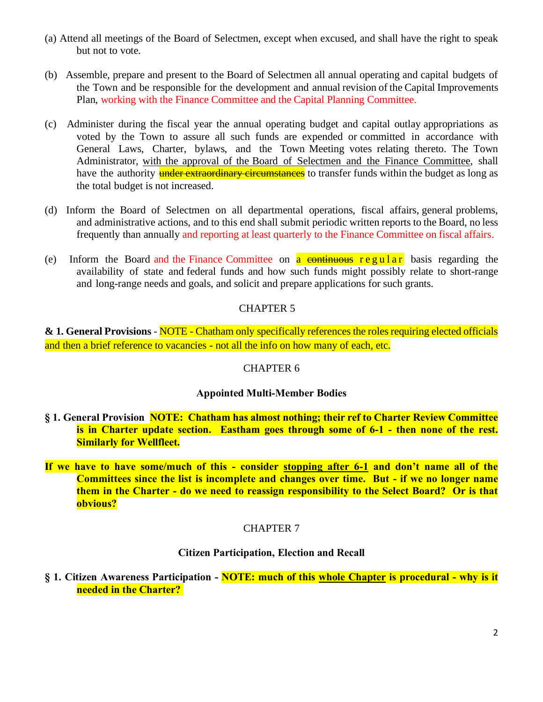- (a) Attend all meetings of the Board of Selectmen, except when excused, and shall have the right to speak but not to vote.
- (b) Assemble, prepare and present to the Board of Selectmen all annual operating and capital budgets of the Town and be responsible for the development and annual revision of the Capital Improvements Plan, working with the Finance Committee and the Capital Planning Committee.
- (c) Administer during the fiscal year the annual operating budget and capital outlay appropriations as voted by the Town to assure all such funds are expended or committed in accordance with General Laws, Charter, bylaws, and the Town Meeting votes relating thereto. The Town Administrator, with the approval of the Board of Selectmen and the Finance Committee, shall have the authority **under extraordinary circumstances** to transfer funds within the budget as long as the total budget is not increased.
- (d) Inform the Board of Selectmen on all departmental operations, fiscal affairs, general problems, and administrative actions, and to this end shall submit periodic written reports to the Board, no less frequently than annually and reporting at least quarterly to the Finance Committee on fiscal affairs.
- (e) Inform the Board and the Finance Committee on  $\alpha$  continuous regular basis regarding the availability of state and federal funds and how such funds might possibly relate to short-range and long-range needs and goals, and solicit and prepare applications for such grants.

# CHAPTER 5

**& 1. General Provisions** - NOTE - Chatham only specifically references the roles requiring elected officials and then a brief reference to vacancies - not all the info on how many of each, etc.

# CHAPTER 6

# **Appointed Multi-Member Bodies**

- **§ 1. General Provision NOTE: Chatham has almost nothing; their ref to Charter Review Committee is in Charter update section. Eastham goes through some of 6-1 - then none of the rest. Similarly for Wellfleet.**
- **If we have to have some/much of this - consider stopping after 6-1 and don't name all of the Committees since the list is incomplete and changes over time. But - if we no longer name them in the Charter - do we need to reassign responsibility to the Select Board? Or is that obvious?**

# CHAPTER 7

# **Citizen Participation, Election and Recall**

**§ 1. Citizen Awareness Participation - NOTE: much of this whole Chapter is procedural - why is it needed in the Charter?**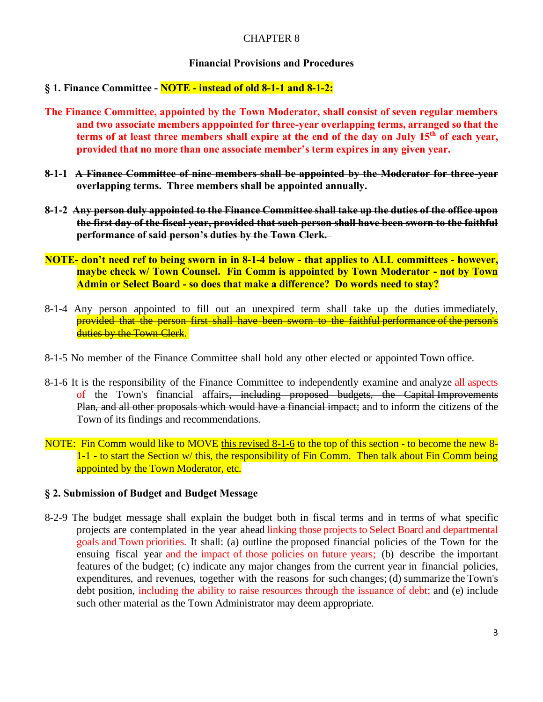# CHAPTER 8

### **Financial Provisions and Procedures**

#### **§ 1. Finance Committee - NOTE - instead of old 8-1-1 and 8-1-2:**

- **The Finance Committee, appointed by the Town Moderator, shall consist of seven regular members and two associate members apppointed for three-year overlapping terms, arranged so that the terms of at least three members shall expire at the end of the day on July 15th of each year, provided that no more than one associate member's term expires in any given year.**
- **8-1-1 A Finance Committee of nine members shall be appointed by the Moderator for three-year overlapping terms. Three members shall be appointed annually.**
- **8-1-2 Any person duly appointed to the Finance Committee shall take up the duties of the office upon the first day of the fiscal year, provided that such person shall have been sworn to the faithful performance of said person's duties by the Town Clerk.**
- **NOTE- don't need ref to being sworn in in 8-1-4 below - that applies to ALL committees - however, maybe check w/ Town Counsel. Fin Comm is appointed by Town Moderator - not by Town Admin or Select Board - so does that make a difference? Do words need to stay?**
- 8-1-4 Any person appointed to fill out an unexpired term shall take up the duties immediately, provided that the person first shall have been sworn to the faithful performance of the person's duties by the Town Clerk.
- 8-1-5 No member of the Finance Committee shall hold any other elected or appointed Town office.
- 8-1-6 It is the responsibility of the Finance Committee to independently examine and analyze all aspects of the Town's financial affairs, including proposed budgets, the Capital Improvements Plan, and all other proposals which would have a financial impact; and to inform the citizens of the Town of its findings and recommendations.
- NOTE: Fin Comm would like to MOVE this revised 8-1-6 to the top of this section to become the new 8- 1-1 - to start the Section w/ this, the responsibility of Fin Comm. Then talk about Fin Comm being appointed by the Town Moderator, etc.

# **§ 2. Submission of Budget and Budget Message**

8-2-9 The budget message shall explain the budget both in fiscal terms and in terms of what specific projects are contemplated in the year ahead linking those projects to Select Board and departmental goals and Town priorities. It shall: (a) outline the proposed financial policies of the Town for the ensuing fiscal year and the impact of those policies on future years; (b) describe the important features of the budget; (c) indicate any major changes from the current year in financial policies, expenditures, and revenues, together with the reasons for such changes; (d) summarize the Town's debt position, including the ability to raise resources through the issuance of debt; and (e) include such other material as the Town Administrator may deem appropriate.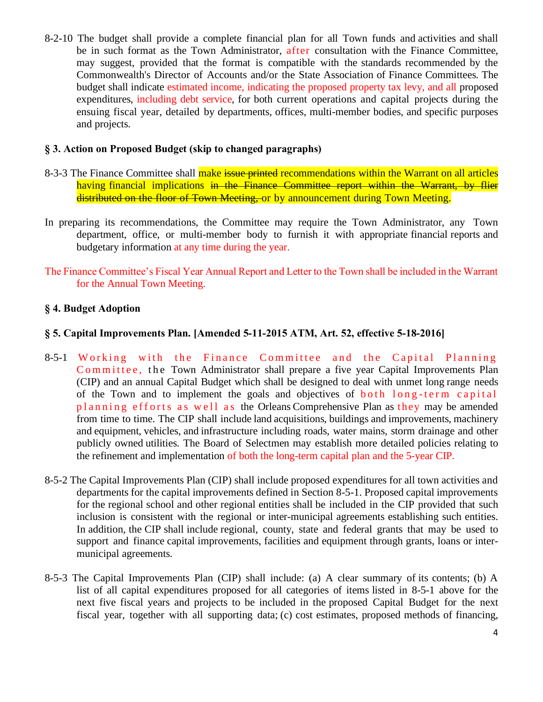8-2-10 The budget shall provide a complete financial plan for all Town funds and activities and shall be in such format as the Town Administrator, after consultation with the Finance Committee, may suggest, provided that the format is compatible with the standards recommended by the Commonwealth's Director of Accounts and/or the State Association of Finance Committees. The budget shall indicate estimated income, indicating the proposed property tax levy, and all proposed expenditures, including debt service, for both current operations and capital projects during the ensuing fiscal year, detailed by departments, offices, multi-member bodies, and specific purposes and projects.

### **§ 3. Action on Proposed Budget (skip to changed paragraphs)**

- 8-3-3 The Finance Committee shall make issue printed recommendations within the Warrant on all articles having financial implications in the Finance Committee report within the Warrant, by flier distributed on the floor of Town Meeting, or by announcement during Town Meeting.
- In preparing its recommendations, the Committee may require the Town Administrator, any Town department, office, or multi-member body to furnish it with appropriate financial reports and budgetary information at any time during the year.
- The Finance Committee's Fiscal Year Annual Report and Letter to the Town shall be included in the Warrant for the Annual Town Meeting.

# **§ 4. Budget Adoption**

# **§ 5. Capital Improvements Plan. [Amended 5-11-2015 ATM, Art. 52, effective 5-18-2016]**

- 8-5-1 Working with the Finance Committee and the Capital Planning Committee, the Town Administrator shall prepare a five year Capital Improvements Plan (CIP) and an annual Capital Budget which shall be designed to deal with unmet long range needs of the Town and to implement the goals and objectives of both long-term capital p l anning efforts as well as the Orleans Comprehensive Plan as they may be amended from time to time. The CIP shall include land acquisitions, buildings and improvements, machinery and equipment, vehicles, and infrastructure including roads, water mains, storm drainage and other publicly owned utilities. The Board of Selectmen may establish more detailed policies relating to the refinement and implementation of both the long-term capital plan and the 5-year CIP.
- 8-5-2 The Capital Improvements Plan (CIP) shall include proposed expenditures for all town activities and departments for the capital improvements defined in Section 8-5-1. Proposed capital improvements for the regional school and other regional entities shall be included in the CIP provided that such inclusion is consistent with the regional or inter-municipal agreements establishing such entities. In addition, the CIP shall include regional, county, state and federal grants that may be used to support and finance capital improvements, facilities and equipment through grants, loans or intermunicipal agreements.
- 8-5-3 The Capital Improvements Plan (CIP) shall include: (a) A clear summary of its contents; (b) A list of all capital expenditures proposed for all categories of items listed in 8-5-1 above for the next five fiscal years and projects to be included in the proposed Capital Budget for the next fiscal year, together with all supporting data; (c) cost estimates, proposed methods of financing,